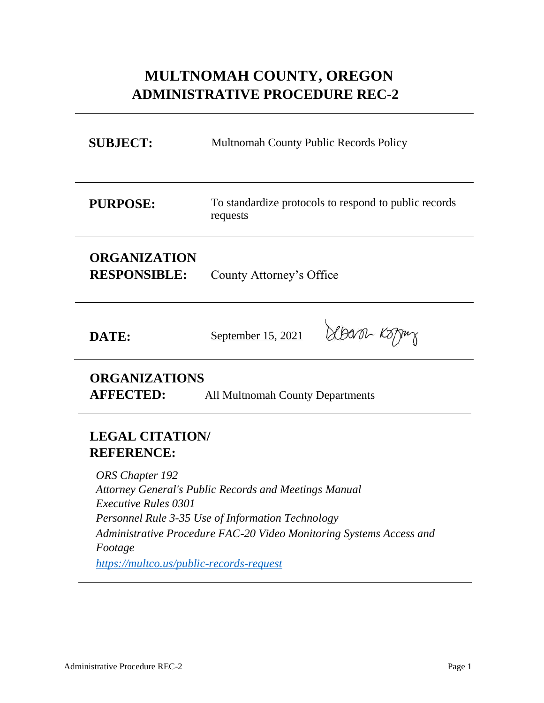# **MULTNOMAH COUNTY, OREGON ADMINISTRATIVE PROCEDURE REC-2**

| <b>SUBJECT:</b>                                                                                                                                         | <b>Multnomah County Public Records Policy</b>                     |
|---------------------------------------------------------------------------------------------------------------------------------------------------------|-------------------------------------------------------------------|
| <b>PURPOSE:</b>                                                                                                                                         | To standardize protocols to respond to public records<br>requests |
| <b>ORGANIZATION</b><br><b>RESPONSIBLE:</b>                                                                                                              | County Attorney's Office                                          |
| DATE:                                                                                                                                                   | Sbaron Koppu<br>September 15, 2021                                |
| <b>ORGANIZATIONS</b><br><b>AFFECTED:</b><br><b>All Multnomah County Departments</b>                                                                     |                                                                   |
| <b>LEGAL CITATION/</b><br><b>REFERENCE:</b><br>ORS Chapter 192<br><b>Attorney General's Public Records and Meetings Manual</b>                          |                                                                   |
| <i>Executive Rules 0301</i><br>Personnel Rule 3-35 Use of Information Technology<br>Administrative Procedure FAC-20 Video Monitoring Systems Access and |                                                                   |

*Footage*

*<https://multco.us/public-records-request>*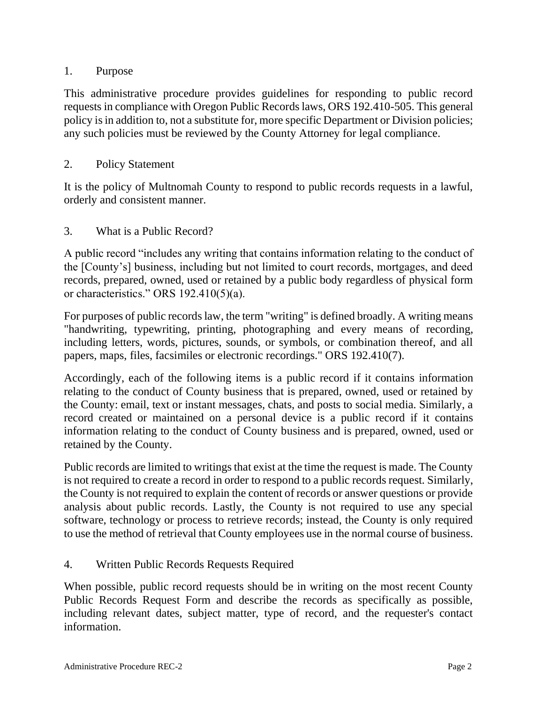## 1. Purpose

This administrative procedure provides guidelines for responding to public record requests in compliance with Oregon Public Records laws, ORS 192.410-505. This general policy is in addition to, not a substitute for, more specific Department or Division policies; any such policies must be reviewed by the County Attorney for legal compliance.

## 2. Policy Statement

It is the policy of Multnomah County to respond to public records requests in a lawful, orderly and consistent manner.

## 3. What is a Public Record?

A public record "includes any writing that contains information relating to the conduct of the [County's] business, including but not limited to court records, mortgages, and deed records, prepared, owned, used or retained by a public body regardless of physical form or characteristics." ORS 192.410(5)(a).

For purposes of public records law, the term "writing" is defined broadly. A writing means "handwriting, typewriting, printing, photographing and every means of recording, including letters, words, pictures, sounds, or symbols, or combination thereof, and all papers, maps, files, facsimiles or electronic recordings." ORS 192.410(7).

Accordingly, each of the following items is a public record if it contains information relating to the conduct of County business that is prepared, owned, used or retained by the County: email, text or instant messages, chats, and posts to social media. Similarly, a record created or maintained on a personal device is a public record if it contains information relating to the conduct of County business and is prepared, owned, used or retained by the County.

Public records are limited to writings that exist at the time the request is made. The County is not required to create a record in order to respond to a public records request. Similarly, the County is not required to explain the content of records or answer questions or provide analysis about public records. Lastly, the County is not required to use any special software, technology or process to retrieve records; instead, the County is only required to use the method of retrieval that County employees use in the normal course of business.

## 4. Written Public Records Requests Required

When possible, public record requests should be in writing on the most recent County Public Records Request Form and describe the records as specifically as possible, including relevant dates, subject matter, type of record, and the requester's contact information.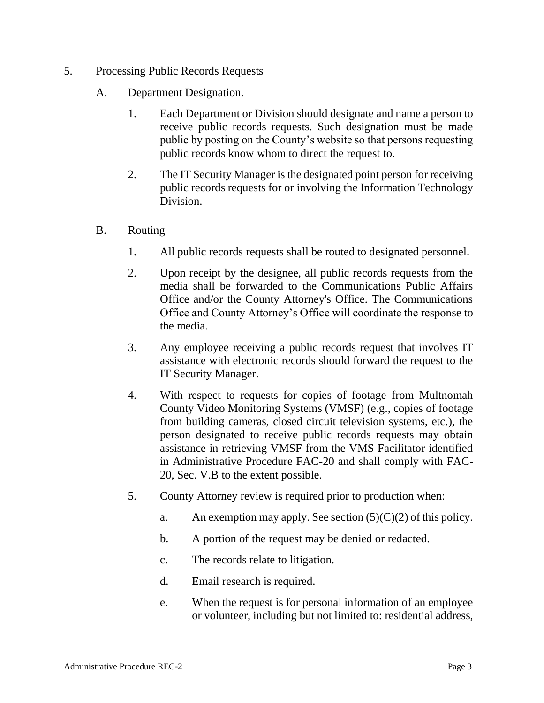- 5. Processing Public Records Requests
	- A. Department Designation.
		- 1. Each Department or Division should designate and name a person to receive public records requests. Such designation must be made public by posting on the County's website so that persons requesting public records know whom to direct the request to.
		- 2. The IT Security Manager is the designated point person for receiving public records requests for or involving the Information Technology Division.
	- B. Routing
		- 1. All public records requests shall be routed to designated personnel.
		- 2. Upon receipt by the designee, all public records requests from the media shall be forwarded to the Communications Public Affairs Office and/or the County Attorney's Office. The Communications Office and County Attorney's Office will coordinate the response to the media.
		- 3. Any employee receiving a public records request that involves IT assistance with electronic records should forward the request to the IT Security Manager.
		- 4. With respect to requests for copies of footage from Multnomah County Video Monitoring Systems (VMSF) (e.g., copies of footage from building cameras, closed circuit television systems, etc.), the person designated to receive public records requests may obtain assistance in retrieving VMSF from the VMS Facilitator identified in Administrative Procedure FAC-20 and shall comply with FAC-20, Sec. V.B to the extent possible.
		- 5. County Attorney review is required prior to production when:
			- a. An exemption may apply. See section  $(5)(C)(2)$  of this policy.
			- b. A portion of the request may be denied or redacted.
			- c. The records relate to litigation.
			- d. Email research is required.
			- e. When the request is for personal information of an employee or volunteer, including but not limited to: residential address,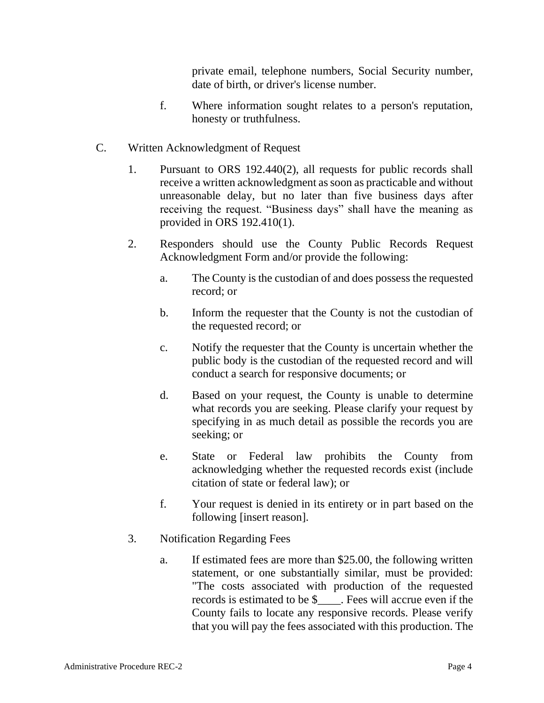private email, telephone numbers, Social Security number, date of birth, or driver's license number.

- f. Where information sought relates to a person's reputation, honesty or truthfulness.
- C. Written Acknowledgment of Request
	- 1. Pursuant to ORS 192.440(2), all requests for public records shall receive a written acknowledgment as soon as practicable and without unreasonable delay, but no later than five business days after receiving the request. "Business days" shall have the meaning as provided in ORS 192.410(1).
	- 2. Responders should use the County Public Records Request Acknowledgment Form and/or provide the following:
		- a. The County is the custodian of and does possess the requested record; or
		- b. Inform the requester that the County is not the custodian of the requested record; or
		- c. Notify the requester that the County is uncertain whether the public body is the custodian of the requested record and will conduct a search for responsive documents; or
		- d. Based on your request, the County is unable to determine what records you are seeking. Please clarify your request by specifying in as much detail as possible the records you are seeking; or
		- e. State or Federal law prohibits the County from acknowledging whether the requested records exist (include citation of state or federal law); or
		- f. Your request is denied in its entirety or in part based on the following [insert reason].
	- 3. Notification Regarding Fees
		- a. If estimated fees are more than \$25.00, the following written statement, or one substantially similar, must be provided: "The costs associated with production of the requested records is estimated to be \$\_\_\_\_. Fees will accrue even if the County fails to locate any responsive records. Please verify that you will pay the fees associated with this production. The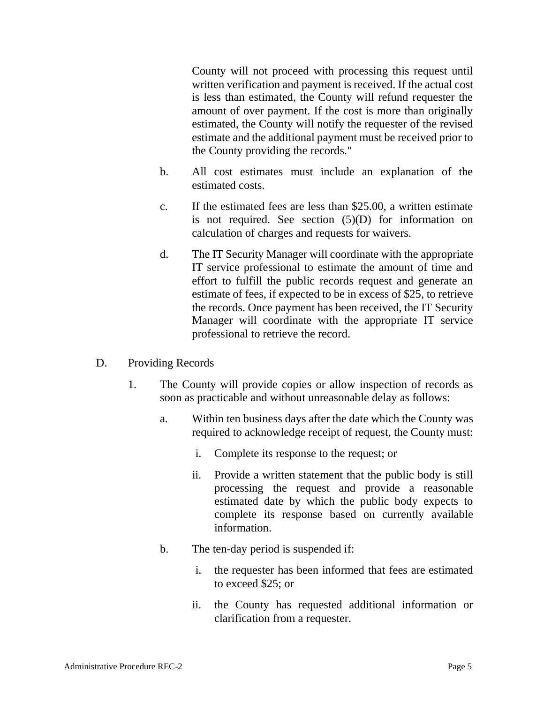County will not proceed with processing this request until written verification and payment is received. If the actual cost is less than estimated, the County will refund requester the amount of over payment. If the cost is more than originally estimated, the County will notify the requester of the revised estimate and the additional payment must be received prior to the County providing the records."

- b. All cost estimates must include an explanation of the estimated costs.
- c. If the estimated fees are less than \$25.00, a written estimate is not required. See section (5)(D) for information on calculation of charges and requests for waivers.
- d. The IT Security Manager will coordinate with the appropriate IT service professional to estimate the amount of time and effort to fulfill the public records request and generate an estimate of fees, if expected to be in excess of \$25, to retrieve the records. Once payment has been received, the IT Security Manager will coordinate with the appropriate IT service professional to retrieve the record.
- D. Providing Records
	- 1. The County will provide copies or allow inspection of records as soon as practicable and without unreasonable delay as follows:
		- a. Within ten business days after the date which the County was required to acknowledge receipt of request, the County must:
			- i. Complete its response to the request; or
			- ii. Provide a written statement that the public body is still processing the request and provide a reasonable estimated date by which the public body expects to complete its response based on currently available information.
		- b. The ten-day period is suspended if:
			- i. the requester has been informed that fees are estimated to exceed \$25; or
			- ii. the County has requested additional information or clarification from a requester.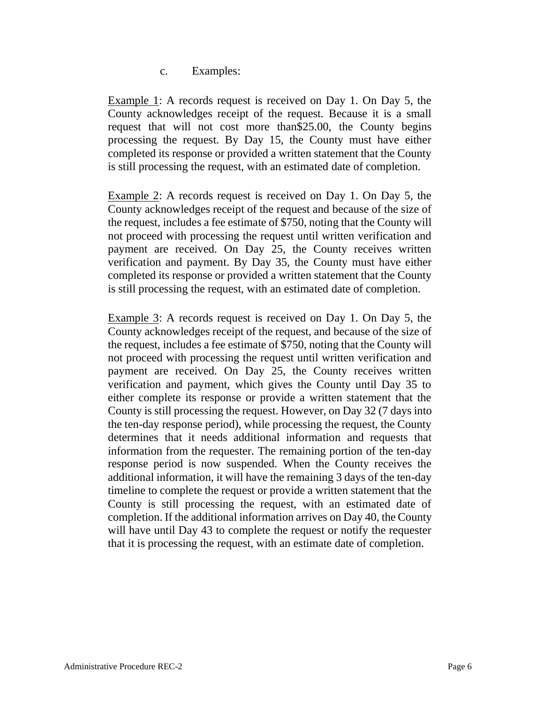c. Examples:

Example 1: A records request is received on Day 1. On Day 5, the County acknowledges receipt of the request. Because it is a small request that will not cost more than\$25.00, the County begins processing the request. By Day 15, the County must have either completed its response or provided a written statement that the County is still processing the request, with an estimated date of completion.

Example 2: A records request is received on Day 1. On Day 5, the County acknowledges receipt of the request and because of the size of the request, includes a fee estimate of \$750, noting that the County will not proceed with processing the request until written verification and payment are received. On Day 25, the County receives written verification and payment. By Day 35, the County must have either completed its response or provided a written statement that the County is still processing the request, with an estimated date of completion.

Example 3: A records request is received on Day 1. On Day 5, the County acknowledges receipt of the request, and because of the size of the request, includes a fee estimate of \$750, noting that the County will not proceed with processing the request until written verification and payment are received. On Day 25, the County receives written verification and payment, which gives the County until Day 35 to either complete its response or provide a written statement that the County is still processing the request. However, on Day 32 (7 days into the ten-day response period), while processing the request, the County determines that it needs additional information and requests that information from the requester. The remaining portion of the ten-day response period is now suspended. When the County receives the additional information, it will have the remaining 3 days of the ten-day timeline to complete the request or provide a written statement that the County is still processing the request, with an estimated date of completion. If the additional information arrives on Day 40, the County will have until Day 43 to complete the request or notify the requester that it is processing the request, with an estimate date of completion.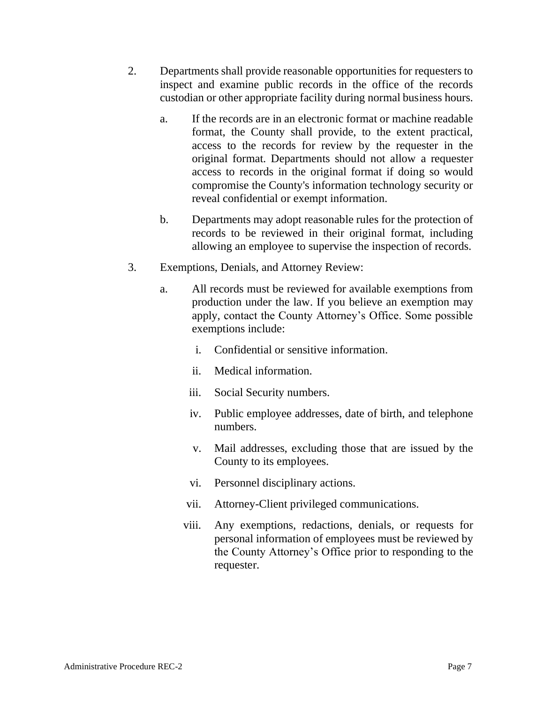- 2. Departments shall provide reasonable opportunities for requesters to inspect and examine public records in the office of the records custodian or other appropriate facility during normal business hours.
	- a. If the records are in an electronic format or machine readable format, the County shall provide, to the extent practical, access to the records for review by the requester in the original format. Departments should not allow a requester access to records in the original format if doing so would compromise the County's information technology security or reveal confidential or exempt information.
	- b. Departments may adopt reasonable rules for the protection of records to be reviewed in their original format, including allowing an employee to supervise the inspection of records.
- 3. Exemptions, Denials, and Attorney Review:
	- a. All records must be reviewed for available exemptions from production under the law. If you believe an exemption may apply, contact the County Attorney's Office. Some possible exemptions include:
		- i. Confidential or sensitive information.
		- ii. Medical information.
		- iii. Social Security numbers.
		- iv. Public employee addresses, date of birth, and telephone numbers.
		- v. Mail addresses, excluding those that are issued by the County to its employees.
		- vi. Personnel disciplinary actions.
		- vii. Attorney-Client privileged communications.
		- viii. Any exemptions, redactions, denials, or requests for personal information of employees must be reviewed by the County Attorney's Office prior to responding to the requester.